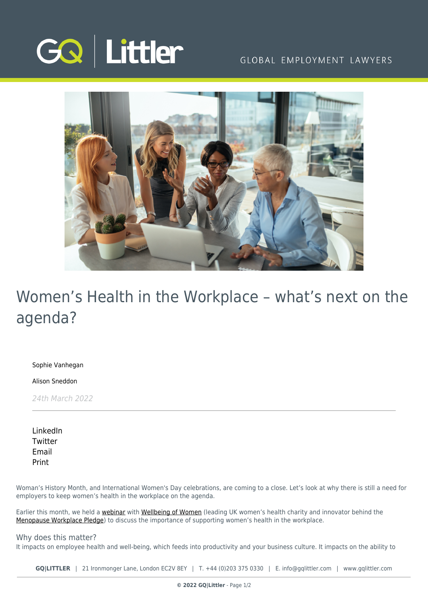

## GLOBAL EMPLOYMENT LAWYERS



# Women's Health in the Workplace – what's next on the agenda?

[Sophie Vanhegan](https://www.gqlittler.com/about-us/the-team/sophie-vanhegan)

[Alison Sneddon](https://www.gqlittler.com/about-us/the-team/alison-sneddon)

24th March 2022

[LinkedIn](https://www.linkedin.com/shareArticle?mini=true&url=https%3A%2F%2Fwww.gqlittler.com%2Fresources%2Fnews-and-views%2Fwomen-s-health-in-the-workplace-what-s-next-on-the-agenda.htm%3Funlock%3Dtrue&title=Women%E2%80%99s+Health+in+the+Workplace+%E2%80%93+what%E2%80%99s+next+on+the+agenda%3F&summary=Woman%E2%80%99s+History+Month%2C+and+International+Women%27s+Day+celebrations%2C+are+coming+to+a+close.+Let%E2%80%99s+look+at+why+there+is+still+a+need+for+employers+to+keep+women%E2%80%99s+health+in+the+workplace+on+the+agenda.&source=GQ+%7C+Littler) **[Twitter](https://twitter.com/share?text=Women%E2%80%99s+Health+in+the+Workplace+%E2%80%93+what%E2%80%99s+next+on+the+agenda%3F&url=https%3A%2F%2Fwww.gqlittler.com%2Fresources%2Fnews-and-views%2Fwomen-s-health-in-the-workplace-what-s-next-on-the-agenda.htm&hashtags=)** [Email](mailto:?subject=Women’s Health in the Workplace – what’s next on the agenda?&body=I) [Print](https://www.bg-pdf.co.uk/_GQ/page.php?M=6148523063484d364c793933643363755a33467361585230624756794c6d4e76625339795a584e7664584a6a5a584d76626d563363793168626d5174646d6c6c64334d76643239745a5734746379316f5a57467364476774615734746447686c4c586476636d74776247466a5a533133614746304c584d74626d56346443317662693130614755745957646c626d52684c6d683062534e414931647662575675346f435a637942495a57467364476767615734676447686c49466476636d74776247466a5a534469674a4d6764326868644f4b416d584d67626d56346443427662694230614755675957646c626d526850794e4149336476625756754c584d74614756686248526f4c576c754c58526f5a53313362334a726347786859325574643268686443317a4c57356c65485174623234746447686c4c57466e5a57356b59513d3d)

Woman's History Month, and International Women's Day celebrations, are coming to a close. Let's look at why there is still a need for employers to keep women's health in the workplace on the agenda.

Earlier this month, we held a [webinar](https://www.gqlittler.com/resources/events/webinar-international-women-s-day-supporting-women-s-health-in-the-workplace.htm) with [Wellbeing of Women](https://www.wellbeingofwomen.org.uk/?msclkid=36dc1123a9ad11eca439667dc1f6fd64) (leading UK women's health charity and innovator behind the [Menopause Workplace Pledge](https://www.wellbeingofwomen.org.uk/campaigns/menopausepledge?msclkid=3445ed75a9ad11ec9d7e8dba36377903)) to discuss the importance of supporting women's health in the workplace.

## Why does this matter?

It impacts on employee health and well-being, which feeds into productivity and your business culture. It impacts on the ability to

**GQ|LITTLER** | 21 Ironmonger Lane, London EC2V 8EY | T. [+44 \(0\)203 375 0330](https://www.bg-pdf.co.uk/_GQ/tel:+442033750330) | E. [info@gqlittler.com](mailto:info@gqlittler.com) | [www.gqlittler.com](https://www.gqlittler.com)